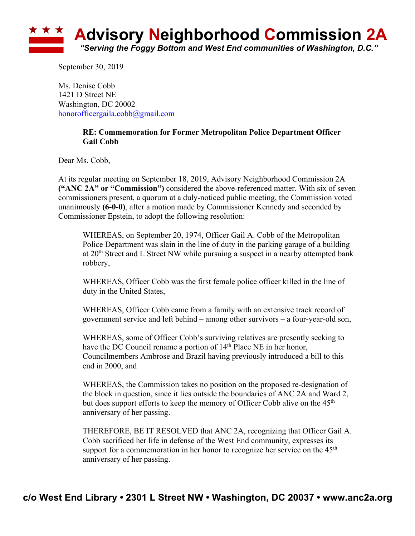

September 30, 2019

Ms. Denise Cobb 1421 D Street NE Washington, DC 20002 honorofficergaila.cobb@gmail.com

## **RE: Commemoration for Former Metropolitan Police Department Officer Gail Cobb**

Dear Ms. Cobb,

At its regular meeting on September 18, 2019, Advisory Neighborhood Commission 2A **("ANC 2A" or "Commission")** considered the above-referenced matter. With six of seven commissioners present, a quorum at a duly-noticed public meeting, the Commission voted unanimously **(6-0-0)**, after a motion made by Commissioner Kennedy and seconded by Commissioner Epstein, to adopt the following resolution:

WHEREAS, on September 20, 1974, Officer Gail A. Cobb of the Metropolitan Police Department was slain in the line of duty in the parking garage of a building at 20th Street and L Street NW while pursuing a suspect in a nearby attempted bank robbery,

WHEREAS, Officer Cobb was the first female police officer killed in the line of duty in the United States,

WHEREAS, Officer Cobb came from a family with an extensive track record of government service and left behind – among other survivors – a four-year-old son,

WHEREAS, some of Officer Cobb's surviving relatives are presently seeking to have the DC Council rename a portion of 14<sup>th</sup> Place NE in her honor, Councilmembers Ambrose and Brazil having previously introduced a bill to this end in 2000, and

WHEREAS, the Commission takes no position on the proposed re-designation of the block in question, since it lies outside the boundaries of ANC 2A and Ward 2, but does support efforts to keep the memory of Officer Cobb alive on the  $45<sup>th</sup>$ anniversary of her passing.

THEREFORE, BE IT RESOLVED that ANC 2A, recognizing that Officer Gail A. Cobb sacrificed her life in defense of the West End community, expresses its support for a commemoration in her honor to recognize her service on the  $45<sup>th</sup>$ anniversary of her passing.